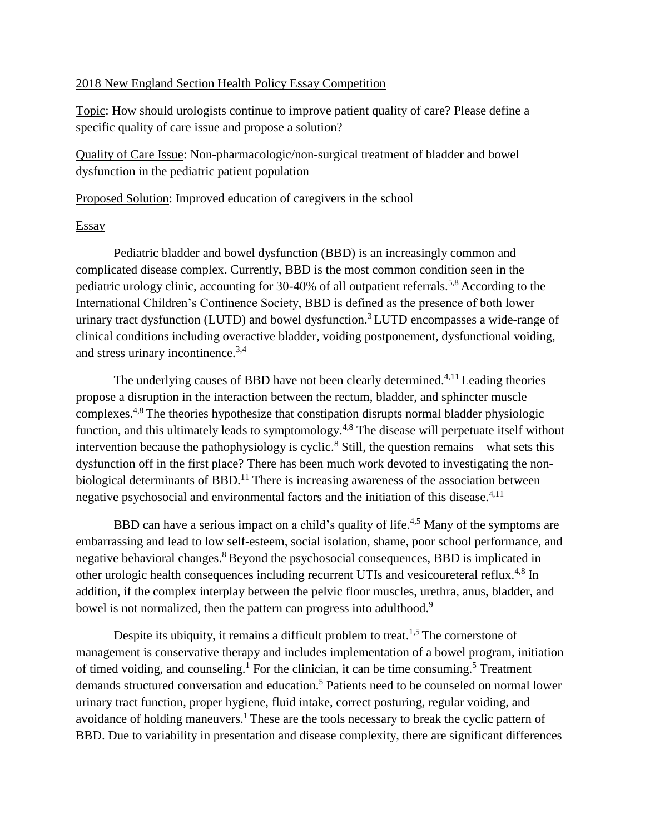## 2018 New England Section Health Policy Essay Competition

Topic: How should urologists continue to improve patient quality of care? Please define a specific quality of care issue and propose a solution?

Quality of Care Issue: Non-pharmacologic/non-surgical treatment of bladder and bowel dysfunction in the pediatric patient population

Proposed Solution: Improved education of caregivers in the school

## **Essay**

Pediatric bladder and bowel dysfunction (BBD) is an increasingly common and complicated disease complex. Currently, BBD is the most common condition seen in the pediatric urology clinic, accounting for 30-40% of all outpatient referrals.5,8 According to the International Children's Continence Society, BBD is defined as the presence of both lower urinary tract dysfunction (LUTD) and bowel dysfunction.<sup>3</sup> LUTD encompasses a wide-range of clinical conditions including overactive bladder, voiding postponement, dysfunctional voiding, and stress urinary incontinence.3,4

The underlying causes of BBD have not been clearly determined.<sup>4,11</sup> Leading theories propose a disruption in the interaction between the rectum, bladder, and sphincter muscle complexes.4,8 The theories hypothesize that constipation disrupts normal bladder physiologic function, and this ultimately leads to symptomology.<sup>4,8</sup> The disease will perpetuate itself without intervention because the pathophysiology is cyclic.<sup>8</sup> Still, the question remains – what sets this dysfunction off in the first place? There has been much work devoted to investigating the nonbiological determinants of BBD.<sup>11</sup> There is increasing awareness of the association between negative psychosocial and environmental factors and the initiation of this disease.<sup>4,11</sup>

BBD can have a serious impact on a child's quality of life.<sup>4,5</sup> Many of the symptoms are embarrassing and lead to low self-esteem, social isolation, shame, poor school performance, and negative behavioral changes.<sup>8</sup> Beyond the psychosocial consequences, BBD is implicated in other urologic health consequences including recurrent UTIs and vesicoureteral reflux.<sup>4,8</sup> In addition, if the complex interplay between the pelvic floor muscles, urethra, anus, bladder, and bowel is not normalized, then the pattern can progress into adulthood.<sup>9</sup>

Despite its ubiquity, it remains a difficult problem to treat.<sup>1,5</sup> The cornerstone of management is conservative therapy and includes implementation of a bowel program, initiation of timed voiding, and counseling.<sup>1</sup> For the clinician, it can be time consuming.<sup>5</sup> Treatment demands structured conversation and education.<sup>5</sup> Patients need to be counseled on normal lower urinary tract function, proper hygiene, fluid intake, correct posturing, regular voiding, and avoidance of holding maneuvers.<sup>1</sup> These are the tools necessary to break the cyclic pattern of BBD. Due to variability in presentation and disease complexity, there are significant differences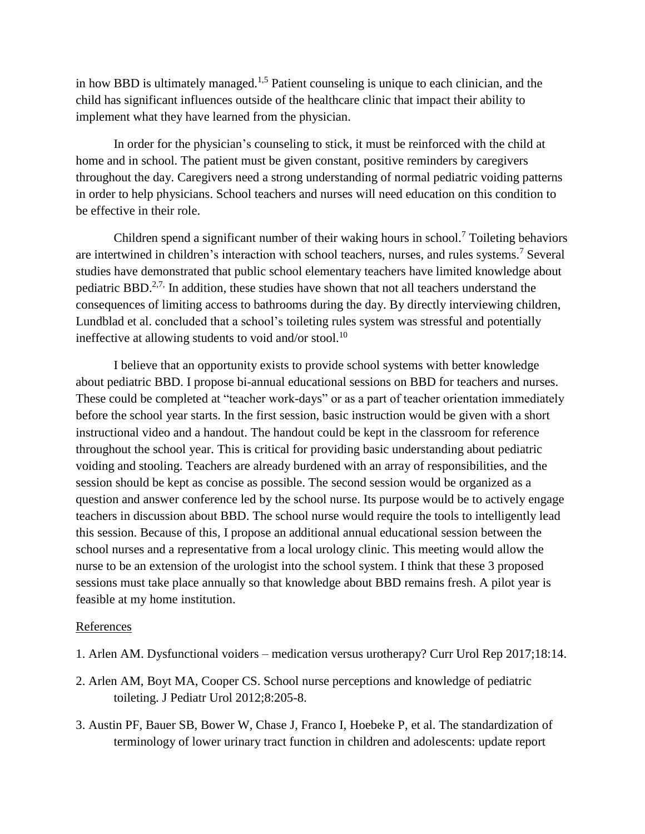in how BBD is ultimately managed.1,5 Patient counseling is unique to each clinician, and the child has significant influences outside of the healthcare clinic that impact their ability to implement what they have learned from the physician.

In order for the physician's counseling to stick, it must be reinforced with the child at home and in school. The patient must be given constant, positive reminders by caregivers throughout the day. Caregivers need a strong understanding of normal pediatric voiding patterns in order to help physicians. School teachers and nurses will need education on this condition to be effective in their role.

Children spend a significant number of their waking hours in school.<sup>7</sup> Toileting behaviors are intertwined in children's interaction with school teachers, nurses, and rules systems. <sup>7</sup> Several studies have demonstrated that public school elementary teachers have limited knowledge about pediatric BBD.<sup>2,7,</sup> In addition, these studies have shown that not all teachers understand the consequences of limiting access to bathrooms during the day. By directly interviewing children, Lundblad et al. concluded that a school's toileting rules system was stressful and potentially ineffective at allowing students to void and/or stool.<sup>10</sup>

I believe that an opportunity exists to provide school systems with better knowledge about pediatric BBD. I propose bi-annual educational sessions on BBD for teachers and nurses. These could be completed at "teacher work-days" or as a part of teacher orientation immediately before the school year starts. In the first session, basic instruction would be given with a short instructional video and a handout. The handout could be kept in the classroom for reference throughout the school year. This is critical for providing basic understanding about pediatric voiding and stooling. Teachers are already burdened with an array of responsibilities, and the session should be kept as concise as possible. The second session would be organized as a question and answer conference led by the school nurse. Its purpose would be to actively engage teachers in discussion about BBD. The school nurse would require the tools to intelligently lead this session. Because of this, I propose an additional annual educational session between the school nurses and a representative from a local urology clinic. This meeting would allow the nurse to be an extension of the urologist into the school system. I think that these 3 proposed sessions must take place annually so that knowledge about BBD remains fresh. A pilot year is feasible at my home institution.

## References

- 1. Arlen AM. Dysfunctional voiders medication versus urotherapy? Curr Urol Rep 2017;18:14.
- 2. Arlen AM, Boyt MA, Cooper CS. School nurse perceptions and knowledge of pediatric toileting. J Pediatr Urol 2012;8:205-8.
- 3. Austin PF, Bauer SB, Bower W, Chase J, Franco I, Hoebeke P, et al. The standardization of terminology of lower urinary tract function in children and adolescents: update report